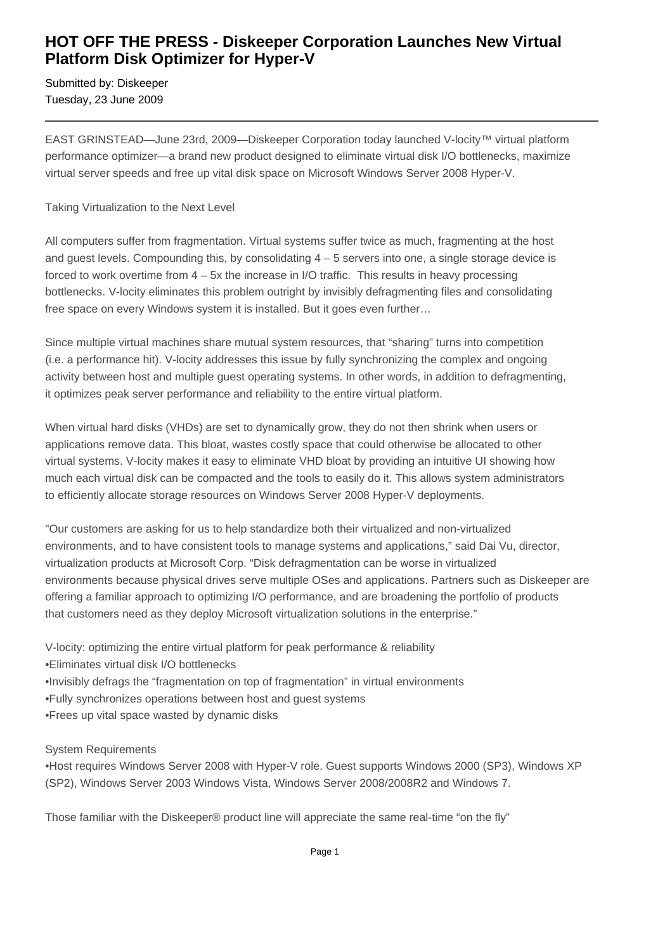## **HOT OFF THE PRESS - Diskeeper Corporation Launches New Virtual Platform Disk Optimizer for Hyper-V**

Submitted by: Diskeeper Tuesday, 23 June 2009

EAST GRINSTEAD—June 23rd, 2009—Diskeeper Corporation today launched V-locity™ virtual platform performance optimizer—a brand new product designed to eliminate virtual disk I/O bottlenecks, maximize virtual server speeds and free up vital disk space on Microsoft Windows Server 2008 Hyper-V.

Taking Virtualization to the Next Level

All computers suffer from fragmentation. Virtual systems suffer twice as much, fragmenting at the host and guest levels. Compounding this, by consolidating 4 – 5 servers into one, a single storage device is forced to work overtime from  $4 - 5x$  the increase in I/O traffic. This results in heavy processing bottlenecks. V-locity eliminates this problem outright by invisibly defragmenting files and consolidating free space on every Windows system it is installed. But it goes even further…

Since multiple virtual machines share mutual system resources, that "sharing" turns into competition (i.e. a performance hit). V-locity addresses this issue by fully synchronizing the complex and ongoing activity between host and multiple guest operating systems. In other words, in addition to defragmenting, it optimizes peak server performance and reliability to the entire virtual platform.

When virtual hard disks (VHDs) are set to dynamically grow, they do not then shrink when users or applications remove data. This bloat, wastes costly space that could otherwise be allocated to other virtual systems. V-locity makes it easy to eliminate VHD bloat by providing an intuitive UI showing how much each virtual disk can be compacted and the tools to easily do it. This allows system administrators to efficiently allocate storage resources on Windows Server 2008 Hyper-V deployments.

"Our customers are asking for us to help standardize both their virtualized and non-virtualized environments, and to have consistent tools to manage systems and applications," said Dai Vu, director, virtualization products at Microsoft Corp. "Disk defragmentation can be worse in virtualized environments because physical drives serve multiple OSes and applications. Partners such as Diskeeper are offering a familiar approach to optimizing I/O performance, and are broadening the portfolio of products that customers need as they deploy Microsoft virtualization solutions in the enterprise."

V-locity: optimizing the entire virtual platform for peak performance & reliability

- • Eliminates virtual disk I/O bottlenecks
- Invisibly defrags the "fragmentation on top of fragmentation" in virtual environments
- Fully synchronizes operations between host and guest systems
- • Frees up vital space wasted by dynamic disks

System Requirements

• Host requires Windows Server 2008 with Hyper-V role. Guest supports Windows 2000 (SP3), Windows XP (SP2), Windows Server 2003 Windows Vista, Windows Server 2008/2008R2 and Windows 7.

Those familiar with the Diskeeper® product line will appreciate the same real-time "on the fly"